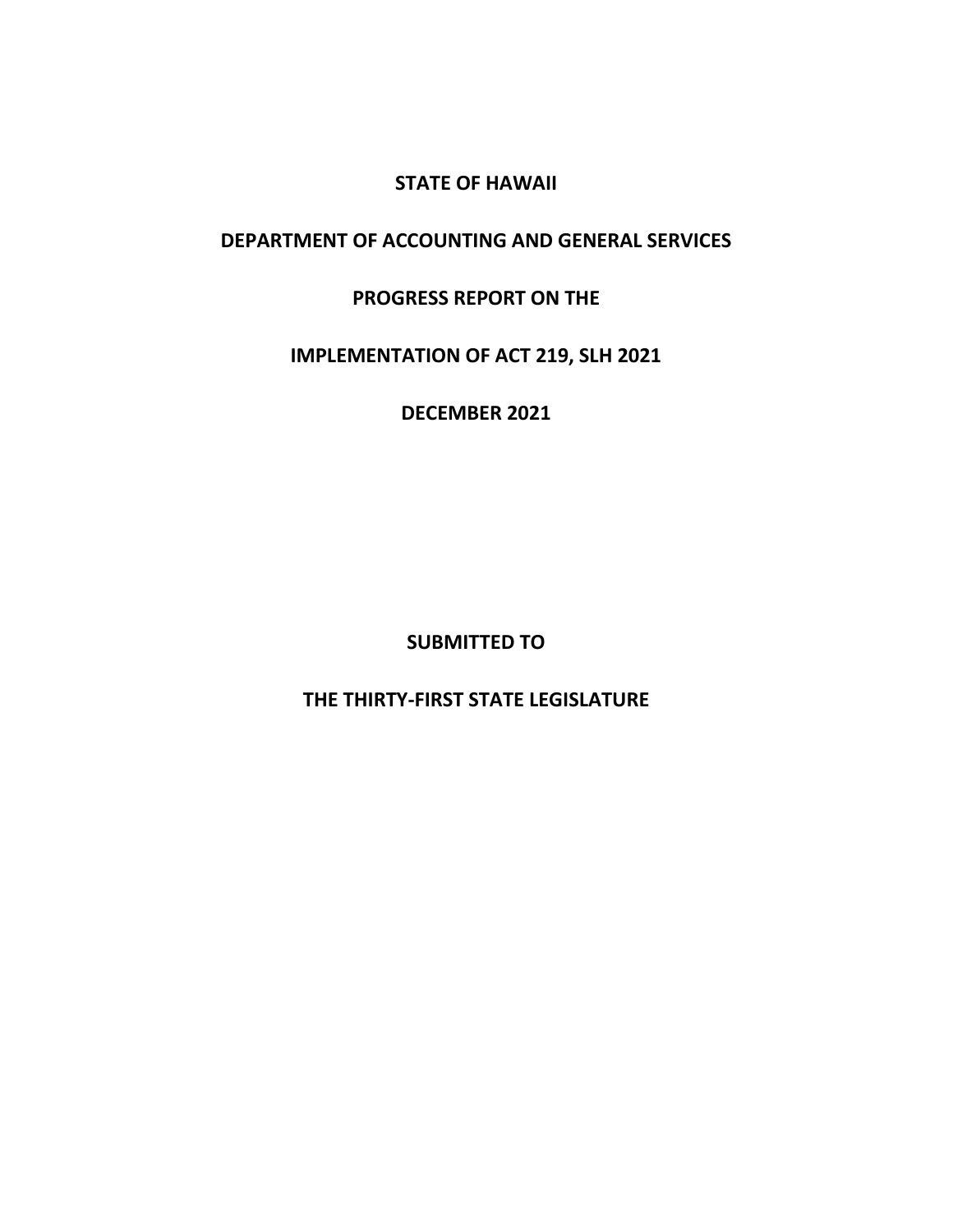# **STATE OF HAWAII**

# **DEPARTMENT OF ACCOUNTING AND GENERAL SERVICES**

# **PROGRESS REPORT ON THE**

# **IMPLEMENTATION OF ACT 219, SLH 2021**

# **DECEMBER 2021**

**SUBMITTED TO**

# **THE THIRTY-FIRST STATE LEGISLATURE**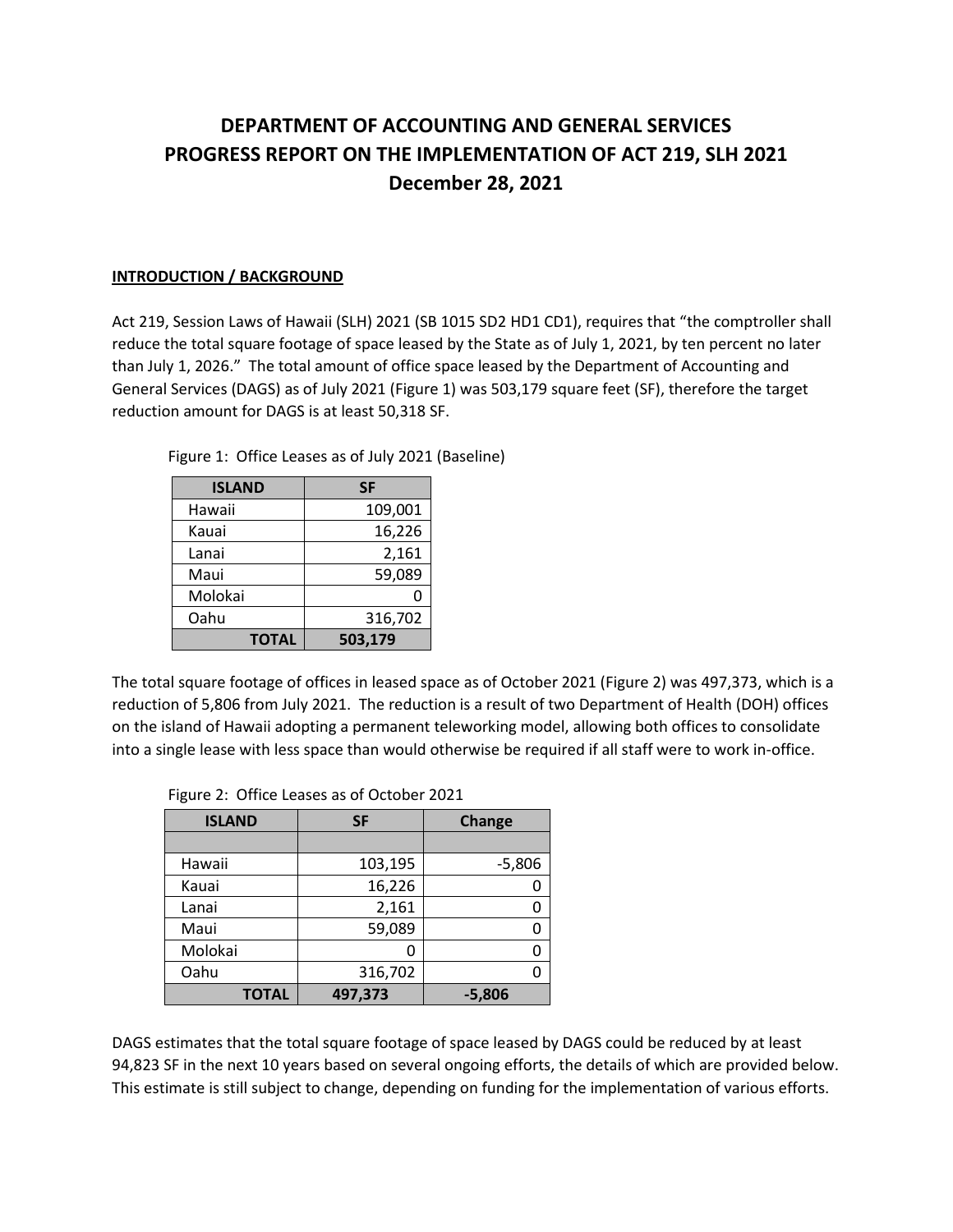# **DEPARTMENT OF ACCOUNTING AND GENERAL SERVICES PROGRESS REPORT ON THE IMPLEMENTATION OF ACT 219, SLH 2021 December 28, 2021**

## **INTRODUCTION / BACKGROUND**

Act 219, Session Laws of Hawaii (SLH) 2021 (SB 1015 SD2 HD1 CD1), requires that "the comptroller shall reduce the total square footage of space leased by the State as of July 1, 2021, by ten percent no later than July 1, 2026." The total amount of office space leased by the Department of Accounting and General Services (DAGS) as of July 2021 (Figure 1) was 503,179 square feet (SF), therefore the target reduction amount for DAGS is at least 50,318 SF.

| <b>ISLAND</b> | SF      |
|---------------|---------|
| Hawaii        | 109,001 |
| Kauai         | 16,226  |
| Lanai         | 2,161   |
| Maui          | 59,089  |
| Molokai       | 0       |
| Oahu          | 316,702 |
| <b>TOTAL</b>  | 503,179 |

Figure 1: Office Leases as of July 2021 (Baseline)

The total square footage of offices in leased space as of October 2021 (Figure 2) was 497,373, which is a reduction of 5,806 from July 2021. The reduction is a result of two Department of Health (DOH) offices on the island of Hawaii adopting a permanent teleworking model, allowing both offices to consolidate into a single lease with less space than would otherwise be required if all staff were to work in-office.

| <b>ISLAND</b> | <b>SF</b> | Change   |  |
|---------------|-----------|----------|--|
|               |           |          |  |
| Hawaii        | 103,195   | $-5,806$ |  |
| Kauai         | 16,226    |          |  |
| Lanai         | 2,161     | n        |  |
| Maui          | 59,089    | O        |  |
| Molokai       |           | n        |  |
| Oahu          | 316,702   |          |  |
| <b>TOTAL</b>  | 497,373   | $-5,806$ |  |

|  |  |  |  | Figure 2: Office Leases as of October 2021 |  |
|--|--|--|--|--------------------------------------------|--|
|--|--|--|--|--------------------------------------------|--|

DAGS estimates that the total square footage of space leased by DAGS could be reduced by at least 94,823 SF in the next 10 years based on several ongoing efforts, the details of which are provided below. This estimate is still subject to change, depending on funding for the implementation of various efforts.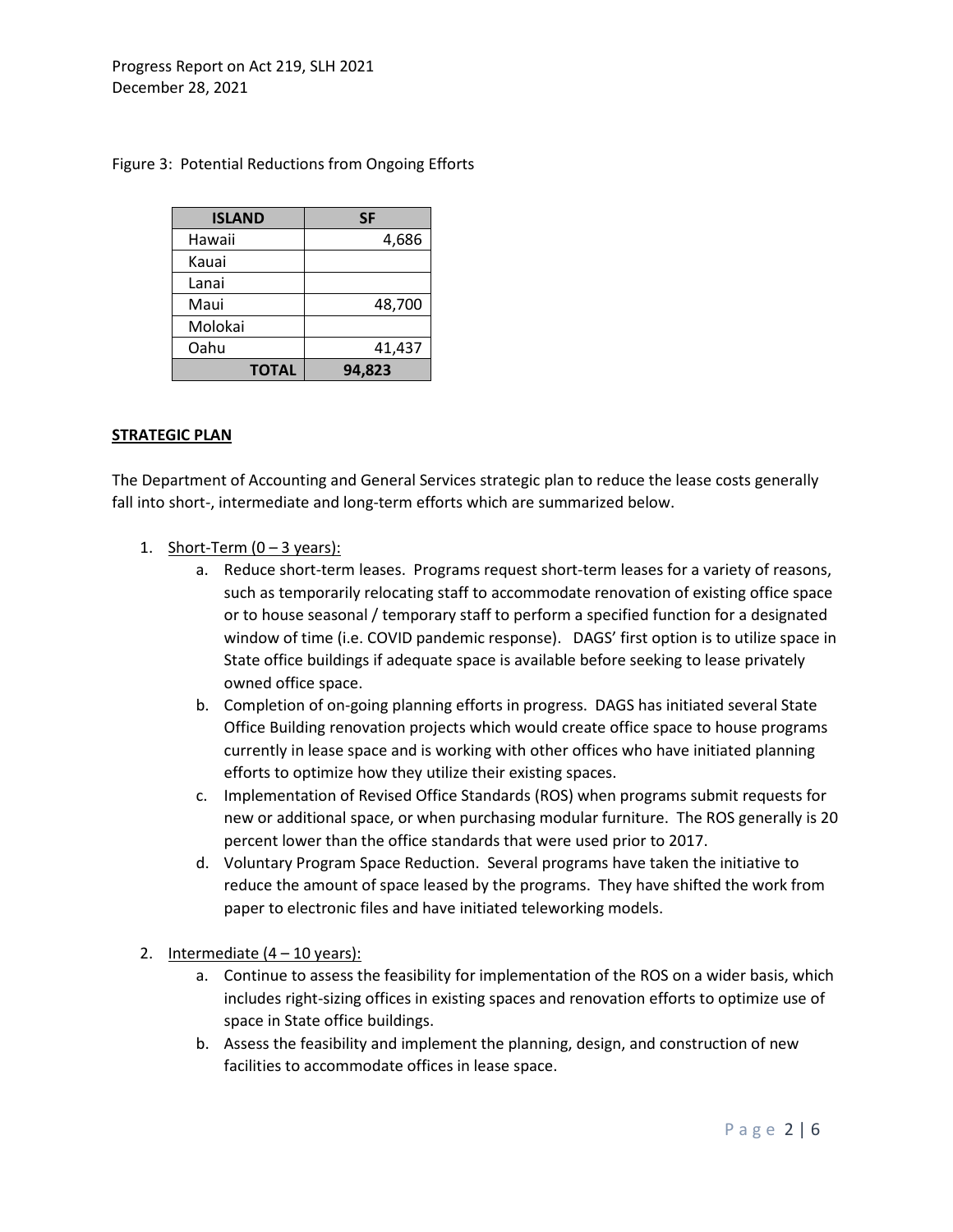| <b>ISLAND</b> | SF     |
|---------------|--------|
| Hawaii        | 4,686  |
| Kauai         |        |
| Lanai         |        |
| Maui          | 48,700 |
| Molokai       |        |
| Oahu          | 41,437 |
| <b>TOTAL</b>  | 94,823 |

## Figure 3: Potential Reductions from Ongoing Efforts

#### **STRATEGIC PLAN**

The Department of Accounting and General Services strategic plan to reduce the lease costs generally fall into short-, intermediate and long-term efforts which are summarized below.

- 1. Short-Term  $(0 3 \text{ years})$ :
	- a. Reduce short-term leases. Programs request short-term leases for a variety of reasons, such as temporarily relocating staff to accommodate renovation of existing office space or to house seasonal / temporary staff to perform a specified function for a designated window of time (i.e. COVID pandemic response). DAGS' first option is to utilize space in State office buildings if adequate space is available before seeking to lease privately owned office space.
	- b. Completion of on-going planning efforts in progress. DAGS has initiated several State Office Building renovation projects which would create office space to house programs currently in lease space and is working with other offices who have initiated planning efforts to optimize how they utilize their existing spaces.
	- c. Implementation of Revised Office Standards (ROS) when programs submit requests for new or additional space, or when purchasing modular furniture. The ROS generally is 20 percent lower than the office standards that were used prior to 2017.
	- d. Voluntary Program Space Reduction. Several programs have taken the initiative to reduce the amount of space leased by the programs. They have shifted the work from paper to electronic files and have initiated teleworking models.
- 2. Intermediate  $(4 10 \text{ years})$ :
	- a. Continue to assess the feasibility for implementation of the ROS on a wider basis, which includes right-sizing offices in existing spaces and renovation efforts to optimize use of space in State office buildings.
	- b. Assess the feasibility and implement the planning, design, and construction of new facilities to accommodate offices in lease space.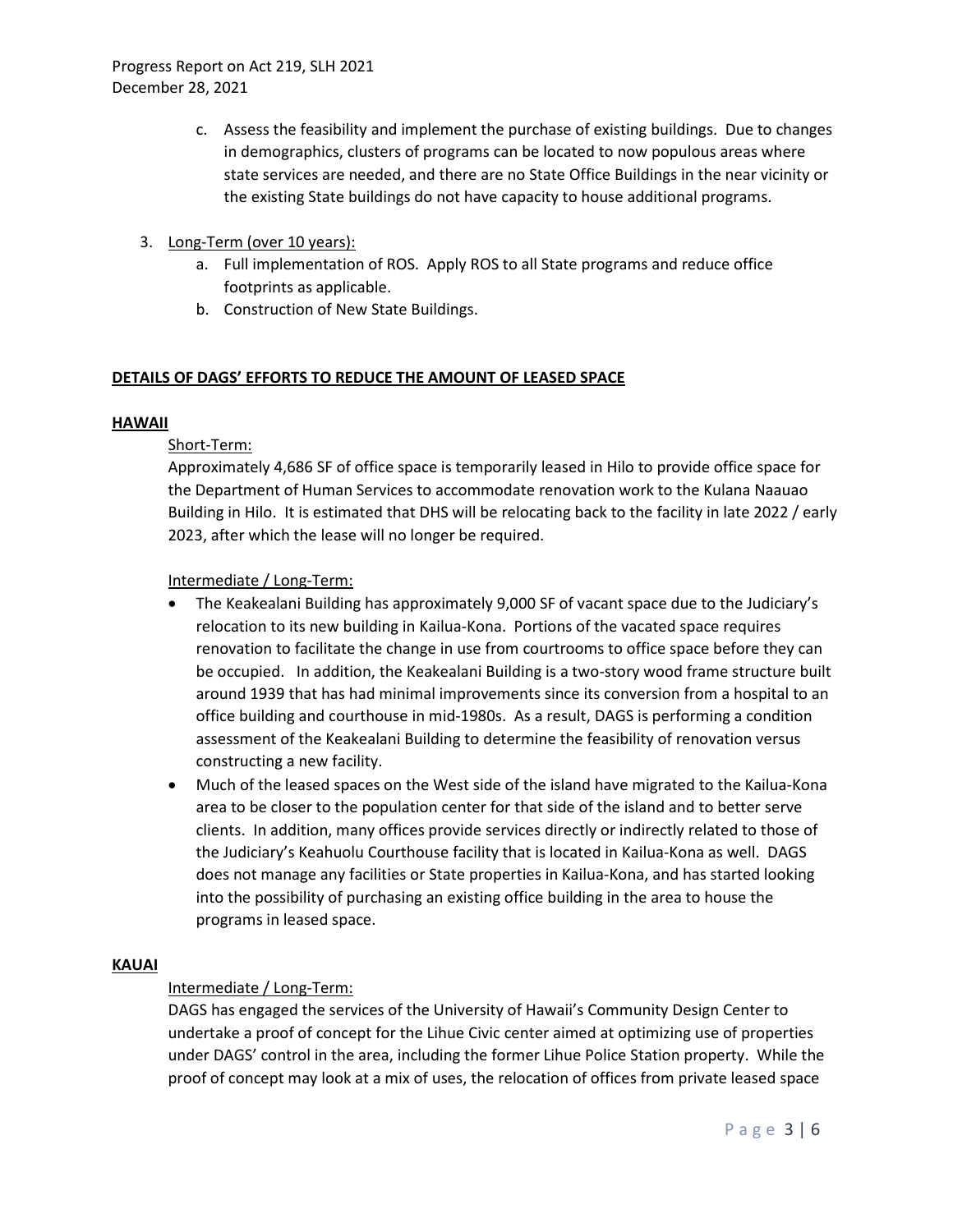- c. Assess the feasibility and implement the purchase of existing buildings. Due to changes in demographics, clusters of programs can be located to now populous areas where state services are needed, and there are no State Office Buildings in the near vicinity or the existing State buildings do not have capacity to house additional programs.
- 3. Long-Term (over 10 years):
	- a. Full implementation of ROS. Apply ROS to all State programs and reduce office footprints as applicable.
	- b. Construction of New State Buildings.

## **DETAILS OF DAGS' EFFORTS TO REDUCE THE AMOUNT OF LEASED SPACE**

#### **HAWAII**

## Short-Term:

Approximately 4,686 SF of office space is temporarily leased in Hilo to provide office space for the Department of Human Services to accommodate renovation work to the Kulana Naauao Building in Hilo. It is estimated that DHS will be relocating back to the facility in late 2022 / early 2023, after which the lease will no longer be required.

## Intermediate / Long-Term:

- The Keakealani Building has approximately 9,000 SF of vacant space due to the Judiciary's relocation to its new building in Kailua-Kona. Portions of the vacated space requires renovation to facilitate the change in use from courtrooms to office space before they can be occupied. In addition, the Keakealani Building is a two-story wood frame structure built around 1939 that has had minimal improvements since its conversion from a hospital to an office building and courthouse in mid-1980s. As a result, DAGS is performing a condition assessment of the Keakealani Building to determine the feasibility of renovation versus constructing a new facility.
- Much of the leased spaces on the West side of the island have migrated to the Kailua-Kona area to be closer to the population center for that side of the island and to better serve clients. In addition, many offices provide services directly or indirectly related to those of the Judiciary's Keahuolu Courthouse facility that is located in Kailua-Kona as well. DAGS does not manage any facilities or State properties in Kailua-Kona, and has started looking into the possibility of purchasing an existing office building in the area to house the programs in leased space.

## **KAUAI**

# Intermediate / Long-Term:

DAGS has engaged the services of the University of Hawaii's Community Design Center to undertake a proof of concept for the Lihue Civic center aimed at optimizing use of properties under DAGS' control in the area, including the former Lihue Police Station property. While the proof of concept may look at a mix of uses, the relocation of offices from private leased space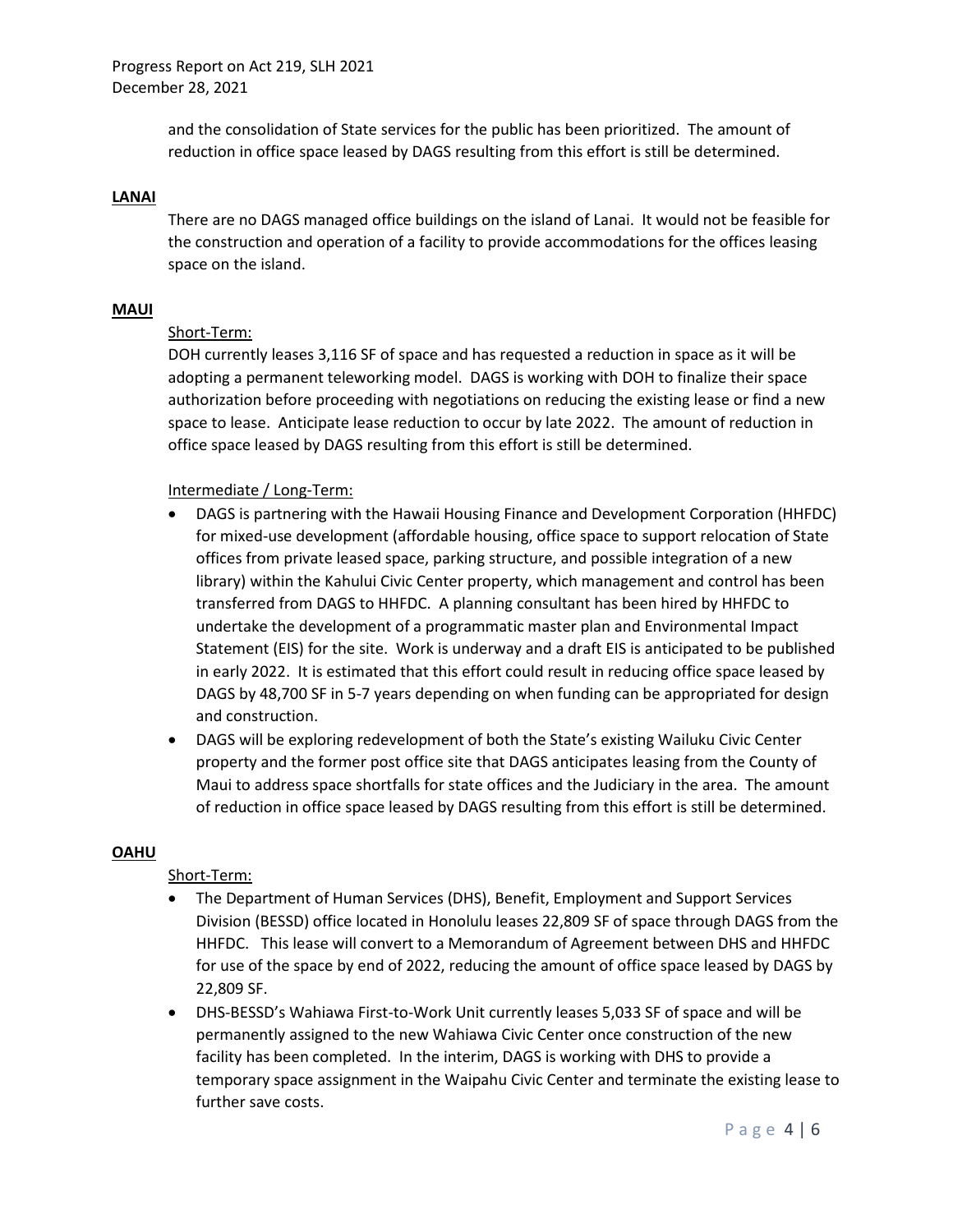Progress Report on Act 219, SLH 2021 December 28, 2021

> and the consolidation of State services for the public has been prioritized. The amount of reduction in office space leased by DAGS resulting from this effort is still be determined.

#### **LANAI**

There are no DAGS managed office buildings on the island of Lanai. It would not be feasible for the construction and operation of a facility to provide accommodations for the offices leasing space on the island.

#### **MAUI**

#### Short-Term:

DOH currently leases 3,116 SF of space and has requested a reduction in space as it will be adopting a permanent teleworking model. DAGS is working with DOH to finalize their space authorization before proceeding with negotiations on reducing the existing lease or find a new space to lease. Anticipate lease reduction to occur by late 2022. The amount of reduction in office space leased by DAGS resulting from this effort is still be determined.

#### Intermediate / Long-Term:

- DAGS is partnering with the Hawaii Housing Finance and Development Corporation (HHFDC) for mixed-use development (affordable housing, office space to support relocation of State offices from private leased space, parking structure, and possible integration of a new library) within the Kahului Civic Center property, which management and control has been transferred from DAGS to HHFDC. A planning consultant has been hired by HHFDC to undertake the development of a programmatic master plan and Environmental Impact Statement (EIS) for the site. Work is underway and a draft EIS is anticipated to be published in early 2022. It is estimated that this effort could result in reducing office space leased by DAGS by 48,700 SF in 5-7 years depending on when funding can be appropriated for design and construction.
- DAGS will be exploring redevelopment of both the State's existing Wailuku Civic Center property and the former post office site that DAGS anticipates leasing from the County of Maui to address space shortfalls for state offices and the Judiciary in the area. The amount of reduction in office space leased by DAGS resulting from this effort is still be determined.

#### **OAHU**

#### Short-Term:

- The Department of Human Services (DHS), Benefit, Employment and Support Services Division (BESSD) office located in Honolulu leases 22,809 SF of space through DAGS from the HHFDC. This lease will convert to a Memorandum of Agreement between DHS and HHFDC for use of the space by end of 2022, reducing the amount of office space leased by DAGS by 22,809 SF.
- DHS-BESSD's Wahiawa First-to-Work Unit currently leases 5,033 SF of space and will be permanently assigned to the new Wahiawa Civic Center once construction of the new facility has been completed. In the interim, DAGS is working with DHS to provide a temporary space assignment in the Waipahu Civic Center and terminate the existing lease to further save costs.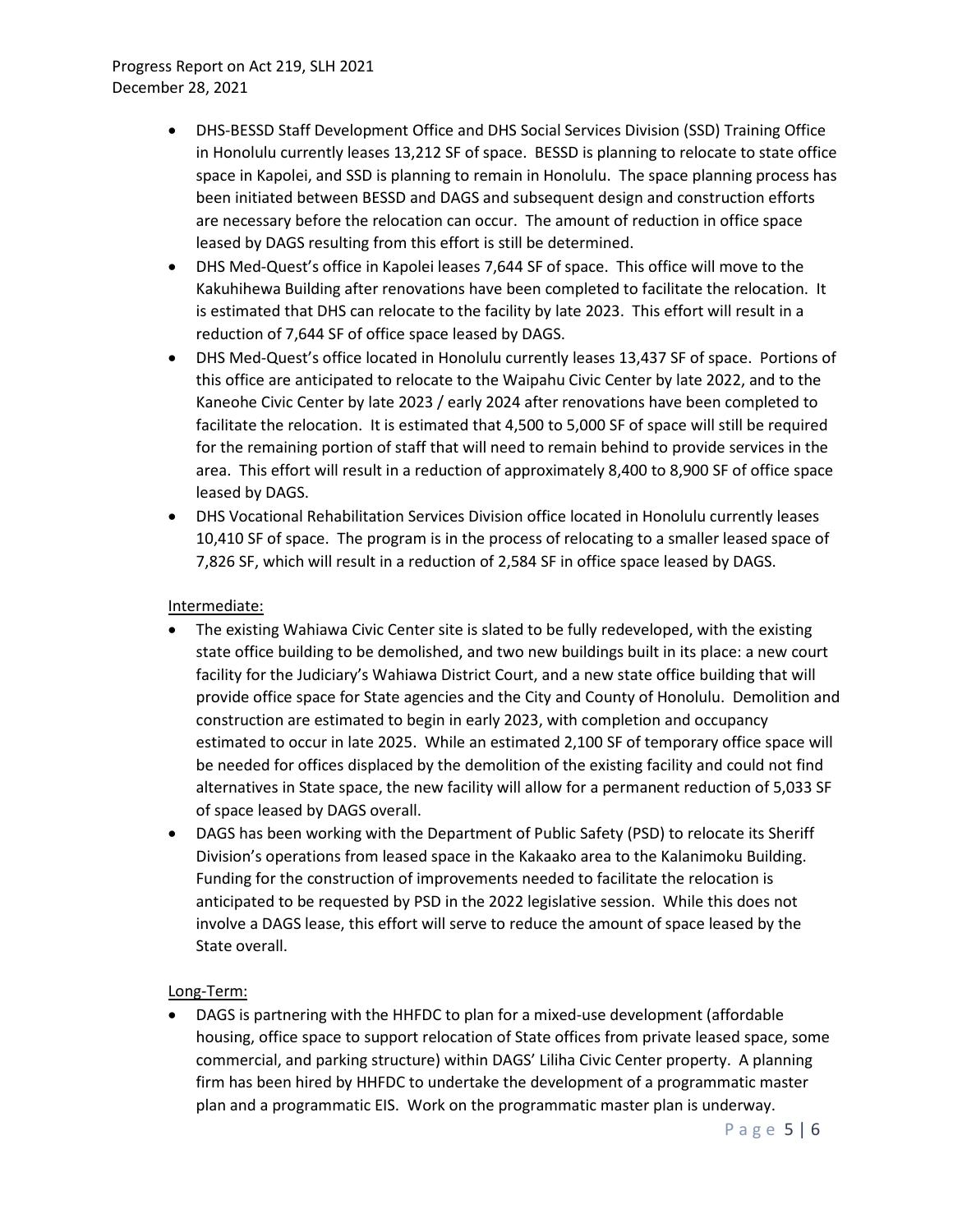- DHS-BESSD Staff Development Office and DHS Social Services Division (SSD) Training Office in Honolulu currently leases 13,212 SF of space. BESSD is planning to relocate to state office space in Kapolei, and SSD is planning to remain in Honolulu. The space planning process has been initiated between BESSD and DAGS and subsequent design and construction efforts are necessary before the relocation can occur. The amount of reduction in office space leased by DAGS resulting from this effort is still be determined.
- DHS Med-Quest's office in Kapolei leases 7,644 SF of space. This office will move to the Kakuhihewa Building after renovations have been completed to facilitate the relocation. It is estimated that DHS can relocate to the facility by late 2023. This effort will result in a reduction of 7,644 SF of office space leased by DAGS.
- DHS Med-Quest's office located in Honolulu currently leases 13,437 SF of space. Portions of this office are anticipated to relocate to the Waipahu Civic Center by late 2022, and to the Kaneohe Civic Center by late 2023 / early 2024 after renovations have been completed to facilitate the relocation. It is estimated that 4,500 to 5,000 SF of space will still be required for the remaining portion of staff that will need to remain behind to provide services in the area. This effort will result in a reduction of approximately 8,400 to 8,900 SF of office space leased by DAGS.
- DHS Vocational Rehabilitation Services Division office located in Honolulu currently leases 10,410 SF of space. The program is in the process of relocating to a smaller leased space of 7,826 SF, which will result in a reduction of 2,584 SF in office space leased by DAGS.

## Intermediate:

- The existing Wahiawa Civic Center site is slated to be fully redeveloped, with the existing state office building to be demolished, and two new buildings built in its place: a new court facility for the Judiciary's Wahiawa District Court, and a new state office building that will provide office space for State agencies and the City and County of Honolulu. Demolition and construction are estimated to begin in early 2023, with completion and occupancy estimated to occur in late 2025. While an estimated 2,100 SF of temporary office space will be needed for offices displaced by the demolition of the existing facility and could not find alternatives in State space, the new facility will allow for a permanent reduction of 5,033 SF of space leased by DAGS overall.
- DAGS has been working with the Department of Public Safety (PSD) to relocate its Sheriff Division's operations from leased space in the Kakaako area to the Kalanimoku Building. Funding for the construction of improvements needed to facilitate the relocation is anticipated to be requested by PSD in the 2022 legislative session. While this does not involve a DAGS lease, this effort will serve to reduce the amount of space leased by the State overall.

## Long-Term:

• DAGS is partnering with the HHFDC to plan for a mixed-use development (affordable housing, office space to support relocation of State offices from private leased space, some commercial, and parking structure) within DAGS' Liliha Civic Center property. A planning firm has been hired by HHFDC to undertake the development of a programmatic master plan and a programmatic EIS. Work on the programmatic master plan is underway.